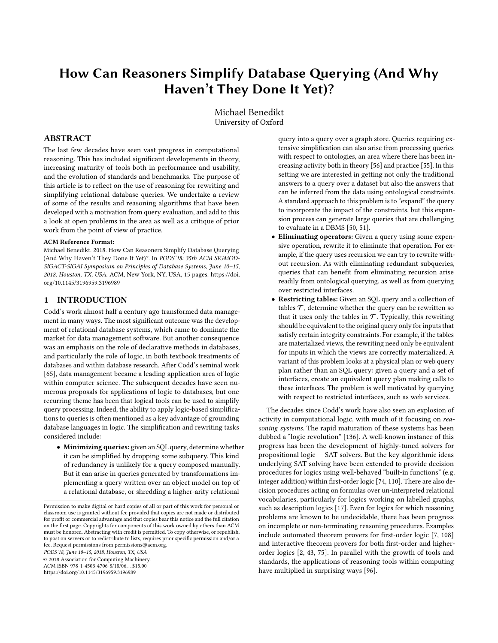# How Can Reasoners Simplify Database Querying (And Why Haven't They Done It Yet)?

Michael Benedikt University of Oxford

# ABSTRACT

The last few decades have seen vast progress in computational reasoning. This has included significant developments in theory, increasing maturity of tools both in performance and usability, and the evolution of standards and benchmarks. The purpose of this article is to reflect on the use of reasoning for rewriting and simplifying relational database queries. We undertake a review of some of the results and reasoning algorithms that have been developed with a motivation from query evaluation, and add to this a look at open problems in the area as well as a critique of prior work from the point of view of practice.

#### ACM Reference Format:

Michael Benedikt. 2018. How Can Reasoners Simplify Database Querying (And Why Haven't They Done It Yet)?. In PODS'18: 35th ACM SIGMOD-SIGACT-SIGAI Symposium on Principles of Database Systems, June 10–15, 2018, Houston, TX, USA. ACM, New York, NY, USA, [15](#page-14-0) pages. [https://doi.](https://doi.org/10.1145/3196959.3196989) [org/10.1145/3196959.3196989](https://doi.org/10.1145/3196959.3196989)

## 1 INTRODUCTION

Codd's work almost half a century ago transformed data management in many ways. The most significant outcome was the development of relational database systems, which came to dominate the market for data management software. But another consequence was an emphasis on the role of declarative methods in databases, and particularly the role of logic, in both textbook treatments of databases and within database research. After Codd's seminal work [\[65\]](#page-13-0), data management became a leading application area of logic within computer science. The subsequent decades have seen numerous proposals for applications of logic to databases, but one recurring theme has been that logical tools can be used to simplify query processing. Indeed, the ability to apply logic-based simplifications to queries is often mentioned as a key advantage of grounding database languages in logic. The simplification and rewriting tasks considered include:

• Minimizing queries: given an SQL query, determine whether it can be simplified by dropping some subquery. This kind of redundancy is unlikely for a query composed manually. But it can arise in queries generated by transformations implementing a query written over an object model on top of a relational database, or shredding a higher-arity relational

PODS'18, June 10–15, 2018, Houston, TX, USA

© 2018 Association for Computing Machinery. ACM ISBN 978-1-4503-4706-8/18/06. . . \$15.00

<https://doi.org/10.1145/3196959.3196989>

query into a query over a graph store. Queries requiring extensive simplification can also arise from processing queries with respect to ontologies, an area where there has been increasing activity both in theory [\[56\]](#page-13-1) and practice [\[55\]](#page-13-2). In this setting we are interested in getting not only the traditional answers to a query over a dataset but also the answers that can be inferred from the data using ontological constraints. A standard approach to this problem is to "expand" the query to incorporate the impact of the constraints, but this expansion process can generate large queries that are challenging to evaluate in a DBMS [\[50,](#page-13-3) [51\]](#page-13-4).

- Eliminating operators: Given a query using some expensive operation, rewrite it to eliminate that operation. For example, if the query uses recursion we can try to rewrite without recursion. As with eliminating redundant subqueries, queries that can benefit from eliminating recursion arise readily from ontological querying, as well as from querying over restricted interfaces.
- Restricting tables: Given an SQL query and a collection of tables  $\mathcal T$ , determine whether the query can be rewritten so that it uses only the tables in  $\mathcal T$ . Typically, this rewriting should be equivalent to the original query only for inputs that satisfy certain integrity constraints. For example, if the tables are materialized views, the rewriting need only be equivalent for inputs in which the views are correctly materialized. A variant of this problem looks at a physical plan or web query plan rather than an SQL query: given a query and a set of interfaces, create an equivalent query plan making calls to these interfaces. The problem is well motivated by querying with respect to restricted interfaces, such as web services.

The decades since Codd's work have also seen an explosion of activity in computational logic, with much of it focusing on reasoning systems. The rapid maturation of these systems has been dubbed a "logic revolution" [\[136\]](#page-14-1). A well-known instance of this progress has been the development of highly-tuned solvers for propositional logic — SAT solvers. But the key algorithmic ideas underlying SAT solving have been extended to provide decision procedures for logics using well-behaved "built-in functions" (e.g. integer addition) within first-order logic [\[74,](#page-14-2) [110\]](#page-14-3). There are also decision procedures acting on formulas over un-interpreted relational vocabularies, particularly for logics working on labelled graphs, such as description logics [\[17\]](#page-13-5). Even for logics for which reasoning problems are known to be undecidable, there has been progress on incomplete or non-terminating reasoning procedures. Examples include automated theorem provers for first-order logic [\[7,](#page-13-6) [108\]](#page-14-4) and interactive theorem provers for both first-order and higherorder logics [\[2,](#page-13-7) [43,](#page-13-8) [75\]](#page-14-5). In parallel with the growth of tools and standards, the applications of reasoning tools within computing have multiplied in surprising ways [\[96\]](#page-14-6).

Permission to make digital or hard copies of all or part of this work for personal or classroom use is granted without fee provided that copies are not made or distributed for profit or commercial advantage and that copies bear this notice and the full citation on the first page. Copyrights for components of this work owned by others than ACM must be honored. Abstracting with credit is permitted. To copy otherwise, or republish, to post on servers or to redistribute to lists, requires prior specific permission and/or a fee. Request permissions from permissions@acm.org.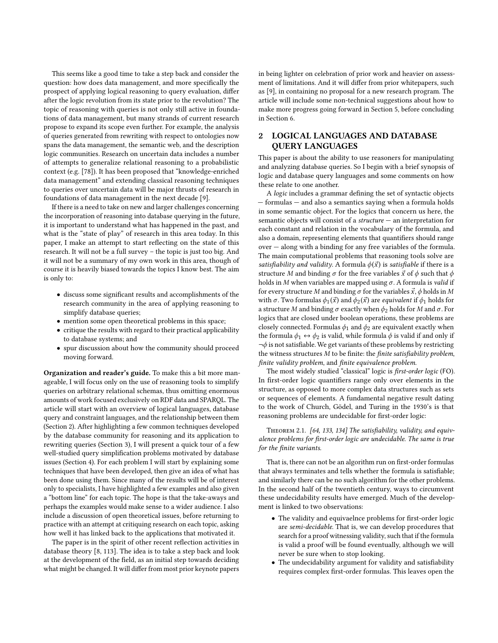This seems like a good time to take a step back and consider the question: how does data management, and more specifically the prospect of applying logical reasoning to query evaluation, differ after the logic revolution from its state prior to the revolution? The topic of reasoning with queries is not only still active in foundations of data management, but many strands of current research propose to expand its scope even further. For example, the analysis of queries generated from rewriting with respect to ontologies now spans the data management, the semantic web, and the description logic communities. Research on uncertain data includes a number of attempts to generalize relational reasoning to a probabilistic context (e.g. [\[78\]](#page-14-7)). It has been proposed that "knowledge-enriched data management" and extending classical reasoning techniques to queries over uncertain data will be major thrusts of research in foundations of data management in the next decade [\[9\]](#page-13-9).

If there is a need to take on new and larger challenges concerning the incorporation of reasoning into database querying in the future, it is important to understand what has happened in the past, and what is the "state of play" of research in this area today. In this paper, I make an attempt to start reflecting on the state of this research. It will not be a full survey – the topic is just too big. And it will not be a summary of my own work in this area, though of course it is heavily biased towards the topics I know best. The aim is only to:

- discuss some significant results and accomplishments of the research community in the area of applying reasoning to simplify database queries;
- mention some open theoretical problems in this space;
- critique the results with regard to their practical applicability to database systems; and
- spur discussion about how the community should proceed moving forward.

Organization and reader's guide. To make this a bit more manageable, I will focus only on the use of reasoning tools to simplify queries on arbitrary relational schemas, thus omitting enormous amounts of work focused exclusively on RDF data and SPARQL. The article will start with an overview of logical languages, database query and constraint languages, and the relationship between them (Section [2\)](#page-1-0). After highlighting a few common techniques developed by the database community for reasoning and its application to rewriting queries (Section [3\)](#page-3-0), I will present a quick tour of a few well-studied query simplification problems motivated by database issues (Section [4\)](#page-4-0). For each problem I will start by explaining some techniques that have been developed, then give an idea of what has been done using them. Since many of the results will be of interest only to specialists, I have highlighted a few examples and also given a "bottom line" for each topic. The hope is that the take-aways and perhaps the examples would make sense to a wider audience. I also include a discussion of open theoretical issues, before returning to practice with an attempt at critiquing research on each topic, asking how well it has linked back to the applications that motivated it.

The paper is in the spirit of other recent reflection activities in database theory [\[8,](#page-13-10) [113\]](#page-14-8). The idea is to take a step back and look at the development of the field, as an initial step towards deciding what might be changed. It will differ from most prior keynote papers

in being lighter on celebration of prior work and heavier on assessment of limitations. And it will differ from prior whitepapers, such as [\[9\]](#page-13-9), in containing no proposal for a new research program. The article will include some non-technical suggestions about how to make more progress going forward in Section [5,](#page-12-0) before concluding in Section [6.](#page-12-1)

# <span id="page-1-0"></span>2 LOGICAL LANGUAGES AND DATABASE QUERY LANGUAGES

This paper is about the ability to use reasoners for manipulating and analyzing database queries. So I begin with a brief synopsis of logic and database query languages and some comments on how these relate to one another.

A logic includes a grammar defining the set of syntactic objects — formulas — and also a semantics saying when a formula holds in some semantic object. For the logics that concern us here, the semantic objects will consist of a structure — an interpretation for each constant and relation in the vocabulary of the formula, and also a domain, representing elements that quantifiers should range over — along with a binding for any free variables of the formula. The main computational problems that reasoning tools solve are satisfiability and validity. A formula  $\phi(\vec{x})$  is satisfiable if there is a structure M and binding  $\sigma$  for the free variables  $\vec{x}$  of  $\phi$  such that  $\phi$ holds in M when variables are mapped using  $\sigma$ . A formula is valid if for every structure M and binding  $\sigma$  for the variables  $\vec{x}$ ,  $\phi$  holds in M with  $\sigma$ . Two formulas  $\phi_1(\vec{x})$  and  $\phi_2(\vec{x})$  are *equivalent* if  $\phi_1$  holds for a structure M and binding  $\sigma$  exactly when  $\phi_2$  holds for M and  $\sigma$ . For logics that are closed under boolean operations, these problems are closely connected. Formulas  $\phi_1$  and  $\phi_2$  are equivalent exactly when the formula  $\phi_1 \leftrightarrow \phi_2$  is valid, while formula  $\phi$  is valid if and only if  $\neg \phi$  is not satisfiable. We get variants of these problems by restricting the witness structures M to be finite: the finite satisfiability problem, finite validity problem, and finite equivalence problem.

The most widely studied "classical" logic is first-order logic (FO). In first-order logic quantifiers range only over elements in the structure, as opposed to more complex data structures such as sets or sequences of elements. A fundamental negative result dating to the work of Church, Gödel, and Turing in the 1930's is that reasoning problems are undecidable for first-order logic:

Theorem 2.1. [\[64,](#page-13-11) [133,](#page-14-9) [134\]](#page-14-10) The satisfiability, validity, and equivalence problems for first-order logic are undecidable. The same is true for the finite variants.

That is, there can not be an algorithm run on first-order formulas that always terminates and tells whether the formula is satisfiable; and similarly there can be no such algorithm for the other problems. In the second half of the twentieth century, ways to circumvent these undecidability results have emerged. Much of the development is linked to two observations:

- The validity and equivaelnce problems for first-order logic are semi-decidable. That is, we can develop procedures that search for a proof witnessing validity, such that if the formula is valid a proof will be found eventually, although we will never be sure when to stop looking.
- The undecidability argument for validity and satisfiability requires complex first-order formulas. This leaves open the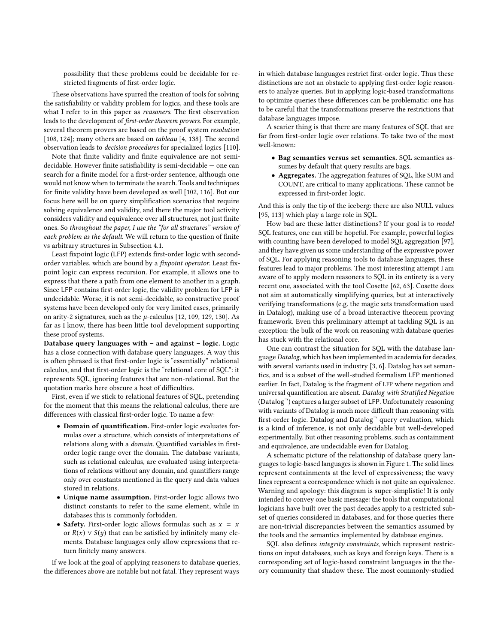possibility that these problems could be decidable for restricted fragments of first-order logic.

These observations have spurred the creation of tools for solving the satisfiability or validity problem for logics, and these tools are what I refer to in this paper as reasoners. The first observation leads to the development of first-order theorem provers. For example, several theorem provers are based on the proof system resolution [\[108,](#page-14-4) [124\]](#page-14-11); many others are based on tableau [\[4,](#page-13-12) [138\]](#page-14-12). The second observation leads to decision procedures for specialized logics [\[110\]](#page-14-3).

Note that finite validity and finite equivalence are not semidecidable. However finite satisfiability is semi-decidable — one can search for a finite model for a first-order sentence, although one would not know when to terminate the search. Tools and techniques for finite validity have been developed as well [\[102,](#page-14-13) [116\]](#page-14-14). But our focus here will be on query simplification scenarios that require solving equivalence and validity, and there the major tool activity considers validity and equivalence over all structures, not just finite ones. So throughout the paper, I use the "for all structures" version of each problem as the default. We will return to the question of finite vs arbitrary structures in Subsection [4.1.](#page-4-1)

Least fixpoint logic (LFP) extends first-order logic with secondorder variables, which are bound by a fixpoint operator. Least fixpoint logic can express recursion. For example, it allows one to express that there a path from one element to another in a graph. Since LFP contains first-order logic, the validity problem for LFP is undecidable. Worse, it is not semi-decidable, so constructive proof systems have been developed only for very limited cases, primarily on arity-2 signatures, such as the  $\mu$ -calculus [\[12,](#page-13-13) [109,](#page-14-15) [129,](#page-14-16) [130\]](#page-14-17). As far as I know, there has been little tool development supporting these proof systems.

Database query languages with – and against – logic. Logic has a close connection with database query languages. A way this is often phrased is that first-order logic is "essentially" relational calculus, and that first-order logic is the "relational core of SQL": it represents SQL, ignoring features that are non-relational. But the quotation marks here obscure a host of difficulties.

First, even if we stick to relational features of SQL, pretending for the moment that this means the relational calculus, there are differences with classical first-order logic. To name a few:

- Domain of quantification. First-order logic evaluates formulas over a structure, which consists of interpretations of relations along with a domain. Quantified variables in firstorder logic range over the domain. The database variants, such as relational calculus, are evaluated using interpretations of relations without any domain, and quantifiers range only over constants mentioned in the query and data values stored in relations.
- Unique name assumption. First-order logic allows two distinct constants to refer to the same element, while in databases this is commonly forbidden.
- Safety. First-order logic allows formulas such as  $x = x$ or  $R(x) \vee S(y)$  that can be satisfied by infinitely many elements. Database languages only allow expressions that return finitely many answers.

If we look at the goal of applying reasoners to database queries, the differences above are notable but not fatal. They represent ways

in which database languages restrict first-order logic. Thus these distinctions are not an obstacle to applying first-order logic reasoners to analyze queries. But in applying logic-based transformations to optimize queries these differences can be problematic: one has to be careful that the transformations preserve the restrictions that database languages impose.

A scarier thing is that there are many features of SQL that are far from first-order logic over relations. To take two of the most well-known:

- Bag semantics versus set semantics. SQL semantics assumes by default that query results are bags.
- Aggregates. The aggregation features of SQL, like SUM and COUNT, are critical to many applications. These cannot be expressed in first-order logic.

And this is only the tip of the iceberg: there are also NULL values [\[95,](#page-14-18) [113\]](#page-14-8) which play a large role in SQL.

How bad are these latter distinctions? If your goal is to model SQL features, one can still be hopeful. For example, powerful logics with counting have been developed to model SQL aggregation [\[97\]](#page-14-19), and they have given us some understanding of the expressive power of SQL. For applying reasoning tools to database languages, these features lead to major problems. The most interesting attempt I am aware of to apply modern reasoners to SQL in its entirety is a very recent one, associated with the tool Cosette [\[62,](#page-13-14) [63\]](#page-13-15). Cosette does not aim at automatically simplifying queries, but at interactively verifying transformations (e.g. the magic sets transformation used in Datalog), making use of a broad interactive theorem proving framework. Even this preliminary attempt at tackling SQL is an exception: the bulk of the work on reasoning with database queries has stuck with the relational core.

One can contrast the situation for SQL with the database language Datalog, which has been implemented in academia for decades, with several variants used in industry [\[3,](#page-13-16) [6\]](#page-13-17). Datalog has set semantics, and is a subset of the well-studied formalism LFP mentioned earlier. In fact, Datalog is the fragment of LFP where negation and universal quantification are absent. Datalog with Stratified Negation (Datalog¬) captures a larger subset of LFP. Unfortunately reasoning with variants of Datalog is much more difficult than reasoning with first-order logic. Datalog and Datalog<sup>-</sup> query evaluation, which is a kind of inference, is not only decidable but well-developed experimentally. But other reasoning problems, such as containment and equivalence, are undecidable even for Datalog.

A schematic picture of the relationship of database query languages to logic-based languages is shown in Figure [1.](#page-3-1) The solid lines represent containments at the level of expressiveness; the wavy lines represent a correspondence which is not quite an equivalence. Warning and apology: this diagram is super-simplistic! It is only intended to convey one basic message: the tools that computational logicians have built over the past decades apply to a restricted subset of queries considered in databases, and for those queries there are non-trivial discrepancies between the semantics assumed by the tools and the semantics implemented by database engines.

SQL also defines integrity constraints, which represent restrictions on input databases, such as keys and foreign keys. There is a corresponding set of logic-based constraint languages in the theory community that shadow these. The most commonly-studied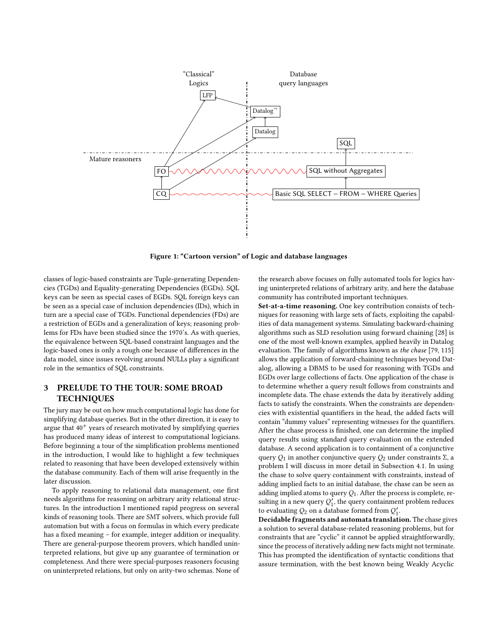<span id="page-3-1"></span>

Figure 1: "Cartoon version" of Logic and database languages

classes of logic-based constraints are Tuple-generating Dependencies (TGDs) and Equality-generating Dependencies (EGDs). SQL keys can be seen as special cases of EGDs. SQL foreign keys can be seen as a special case of inclusion dependencies (IDs), which in turn are a special case of TGDs. Functional dependencies (FDs) are a restriction of EGDs and a generalization of keys; reasoning problems for FDs have been studied since the 1970's. As with queries, the equivalence between SQL-based constraint languages and the logic-based ones is only a rough one because of differences in the data model, since issues revolving around NULLs play a significant role in the semantics of SQL constraints.

# <span id="page-3-0"></span>3 PRELUDE TO THE TOUR: SOME BROAD **TECHNIQUES**

The jury may be out on how much computational logic has done for simplifying database queries. But in the other direction, it is easy to argue that  $40^{+}$  years of research motivated by simplifying queries has produced many ideas of interest to computational logicians. Before beginning a tour of the simplification problems mentioned in the introduction, I would like to highlight a few techniques related to reasoning that have been developed extensively within the database community. Each of them will arise frequently in the later discussion.

To apply reasoning to relational data management, one first needs algorithms for reasoning on arbitrary arity relational structures. In the introduction I mentioned rapid progress on several kinds of reasoning tools. There are SMT solvers, which provide full automation but with a focus on formulas in which every predicate has a fixed meaning – for example, integer addition or inequality. There are general-purpose theorem provers, which handled uninterpreted relations, but give up any guarantee of termination or completeness. And there were special-purposes reasoners focusing on uninterpreted relations, but only on arity-two schemas. None of

the research above focuses on fully automated tools for logics having uninterpreted relations of arbitrary arity, and here the database community has contributed important techniques.

Set-at-a-time reasoning. One key contribution consists of techniques for reasoning with large sets of facts, exploiting the capabilities of data management systems. Simulating backward-chaining algorithms such as SLD resolution using forward chaining [\[28\]](#page-13-18) is one of the most well-known examples, applied heavily in Datalog evaluation. The family of algorithms known as the chase [\[79,](#page-14-20) [115\]](#page-14-21) allows the application of forward-chaining techniques beyond Datalog, allowing a DBMS to be used for reasoning with TGDs and EGDs over large collections of facts. One application of the chase is to determine whether a query result follows from constraints and incomplete data. The chase extends the data by iteratively adding facts to satisfy the constraints. When the constraints are dependencies with existential quantifiers in the head, the added facts will contain "dummy values" representing witnesses for the quantifiers. After the chase process is finished, one can determine the implied query results using standard query evaluation on the extended database. A second application is to containment of a conjunctive query  $Q_1$  in another conjunctive query  $Q_2$  under constraints  $\Sigma$ , a problem I will discuss in more detail in Subsection [4.1.](#page-4-1) In using the chase to solve query containment with constraints, instead of adding implied facts to an initial database, the chase can be seen as adding implied atoms to query  $Q_1$ . After the process is complete, resulting in a new query  $Q'_1$ , the query containment problem reduces to evaluating  $Q_2$  on a database formed from  $Q'_1$ .

Decidable fragments and automata translation. The chase gives a solution to several database-related reasoning problems, but for constraints that are "cyclic" it cannot be applied straightforwardly, since the process of iteratively adding new facts might not terminate. This has prompted the identification of syntactic conditions that assure termination, with the best known being Weakly Acyclic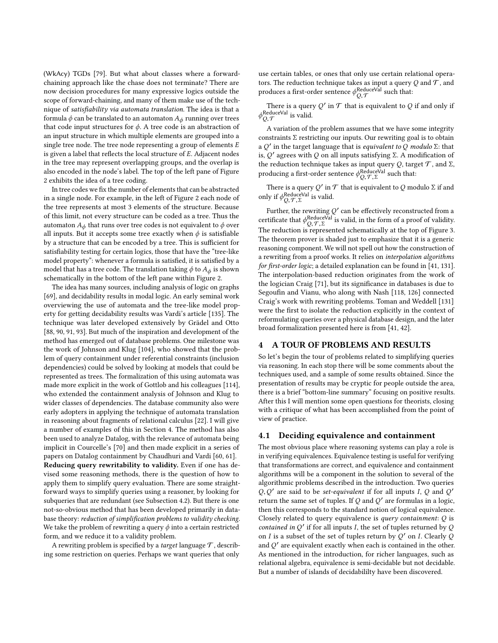(WkAcy) TGDs [\[79\]](#page-14-20). But what about classes where a forwardchaining approach like the chase does not terminate? There are now decision procedures for many expressive logics outside the scope of forward-chaining, and many of them make use of the technique of satisfiability via automata translation. The idea is that a formula  $\phi$  can be translated to an automaton  $A_\phi$  running over trees that code input structures for  $\phi$ . A tree code is an abstraction of an input structure in which multiple elements are grouped into a single tree node. The tree node representing a group of elements E is given a label that reflects the local structure of E. Adjacent nodes in the tree may represent overlapping groups, and the overlap is also encoded in the node's label. The top of the left pane of Figure [2](#page-5-0) exhibits the idea of a tree coding.

In tree codes we fix the number of elements that can be abstracted in a single node. For example, in the left of Figure [2](#page-5-0) each node of the tree represents at most 3 elements of the structure. Because of this limit, not every structure can be coded as a tree. Thus the automaton  $A_{\phi}$  that runs over tree codes is not equivalent to  $\phi$  over all inputs. But it accepts some tree exactly when  $\phi$  is satisfiable by a structure that can be encoded by a tree. This is sufficient for satisfiability testing for certain logics, those that have the "tree-like model property": whenever a formula is satisfied, it is satisfied by a model that has a tree code. The translation taking  $\phi$  to  $A_{\phi}$  is shown schematically in the bottom of the left pane within Figure [2.](#page-5-0)

The idea has many sources, including analysis of logic on graphs [\[69\]](#page-13-19), and decidability results in modal logic. An early seminal work overviewing the use of automata and the tree-like model property for getting decidability results was Vardi's article [\[135\]](#page-14-22). The technique was later developed extensively by Grädel and Otto [\[88,](#page-14-23) [90,](#page-14-24) [91,](#page-14-25) [93\]](#page-14-26). But much of the inspiration and development of the method has emerged out of database problems. One milestone was the work of Johnson and Klug [\[104\]](#page-14-27), who showed that the problem of query containment under referential constraints (inclusion dependencies) could be solved by looking at models that could be represented as trees. The formalization of this using automata was made more explicit in the work of Gottlob and his colleagues [\[114\]](#page-14-28), who extended the containment analysis of Johnson and Klug to wider classes of dependencies. The database community also were early adopters in applying the technique of automata translation in reasoning about fragments of relational calculus [\[22\]](#page-13-20). I will give a number of examples of this in Section [4.](#page-4-0) The method has also been used to analyze Datalog, with the relevance of automata being implicit in Courcelle's [\[70\]](#page-13-21) and then made explicit in a series of papers on Datalog containment by Chaudhuri and Vardi [\[60,](#page-13-22) [61\]](#page-13-23). Reducing query rewritability to validity. Even if one has devised some reasoning methods, there is the question of how to apply them to simplify query evaluation. There are some straightforward ways to simplify queries using a reasoner, by looking for subqueries that are redundant (see Subsection [4.2\)](#page-8-0). But there is one not-so-obvious method that has been developed primarily in database theory: reduction of simplification problems to validity checking. We take the problem of rewriting a query  $\phi$  into a certain restricted form, and we reduce it to a validity problem.

A rewriting problem is specified by a target language  $\mathcal T$ , describing some restriction on queries. Perhaps we want queries that only

use certain tables, or ones that only use certain relational operators. The reduction technique takes as input a query  $Q$  and  $T$ , and produces a first-order sentence  $\phi^{\text{ReduceVal}}_{Q, \mathcal{T}}$  such that:

There is a query  $Q'$  in  $\mathcal T$  that is equivalent to  $Q$  if and only if  $\phi_{Q, \mathcal{T}}^{\text{ReduceVal}}$  is valid.

A variation of the problem assumes that we have some integrity constraints Σ restricting our inputs. Our rewriting goal is to obtain a Q' in the target language that is *equivalent to* Q modulo  $\Sigma$ : that is  $O'$  agrees with Q on all inputs satisfying  $\Sigma$ . A modification of is, Q' agrees with Q on all inputs satisfying Σ. A modification of<br>the reduction technique takes as input query Q target  $\mathcal{T}$  and  $\Sigma$ the reduction technique takes as input query  $Q,$  target  ${\mathcal T},$  and  $\Sigma,$ producing a first-order sentence  $\phi_{Q,\mathcal{T},\Sigma}^{\text{ReduceVal}}$  such that:

There is a query  $Q'$  in  $T$  that is equivalent to  $Q$  modulo  $\Sigma$  if and  $\mathbf{u}_r$  if a ReduceVal is volid only if  $\phi_{Q,\mathcal{T},\Sigma}^{\text{ReduceVal}}$  is valid.

Further, the rewriting  $Q'$  can be effectively reconstructed from a certificate that  $\phi_{Q,\mathcal{T},\Sigma}^{\text{ReduceVal}}$  is valid, in the form of a proof of validity.<br>The reduction is represented schematically at the top of Figure 3. The reduction is represented schematically at the top of Figure [3.](#page-5-1) The theorem prover is shaded just to emphasize that it is a generic reasoning component. We will not spell out how the construction of a rewriting from a proof works. It relies on interpolation algorithms for first-order logic; a detailed explanation can be found in [\[41,](#page-13-24) [131\]](#page-14-29). The interpolation-based reduction originates from the work of the logician Craig [\[71\]](#page-13-25), but its significance in databases is due to Segoufin and Vianu, who along with Nash [\[118,](#page-14-30) [126\]](#page-14-31) connected Craig's work with rewriting problems. Toman and Weddell [\[131\]](#page-14-29) were the first to isolate the reduction explicitly in the context of reformulating queries over a physical database design, and the later broad formalization presented here is from [\[41,](#page-13-24) [42\]](#page-13-26).

#### <span id="page-4-0"></span>4 A TOUR OF PROBLEMS AND RESULTS

So let's begin the tour of problems related to simplifying queries via reasoning. In each stop there will be some comments about the techniques used, and a sample of some results obtained. Since the presentation of results may be cryptic for people outside the area, there is a brief "bottom-line summary" focusing on positive results. After this I will mention some open questions for theorists, closing with a critique of what has been accomplished from the point of view of practice.

#### <span id="page-4-1"></span>4.1 Deciding equivalence and containment

The most obvious place where reasoning systems can play a role is in verifying equivalences. Equivalence testing is useful for verifying that transformations are correct, and equivalence and containment algorithms will be a component in the solution to several of the algorithmic problems described in the introduction. Two queries  $Q, Q'$  are said to be *set-equivalent* if for all inputs I,  $Q$  and  $Q'$  return the same set of tuples If  $Q$  and  $Q'$  are formulas in a logic return the same set of tuples. If Q and Q' are formulas in a logic, then this corresponds to the standard notion of logical equivalence. Closely related to query equivalence is *query containment*:  $Q$  is contained in  $Q'$  if for all inputs I, the set of tuples returned by  $Q$ on *I* is a subset of the set of tuples return by  $Q'$  on *I*. Clearly  $Q$ and Q ′ are equivalent exactly when each is contained in the other. As mentioned in the introduction, for richer languages, such as relational algebra, equivalence is semi-decidable but not decidable. But a number of islands of decidabililty have been discovered.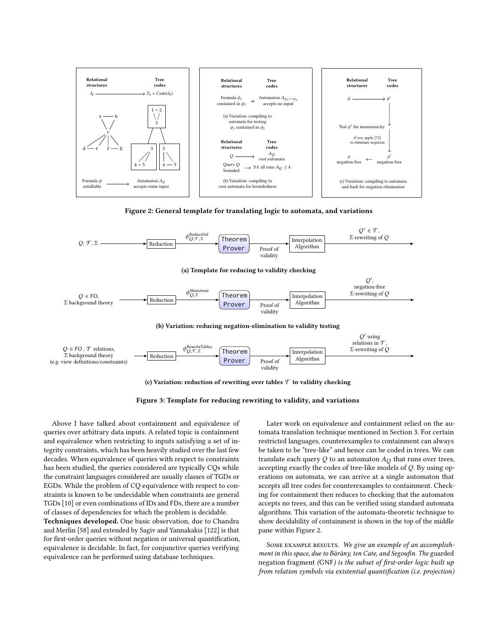<span id="page-5-0"></span>



<span id="page-5-1"></span>

(c) Variation: reduction of rewriting over tables  ${\mathcal T}$  to validity checking



Above I have talked about containment and equivalence of queries over arbitrary data inputs. A related topic is containment and equivalence when restricting to inputs satisfying a set of integrity constraints, which has been heavily studied over the last few decades. When equivalence of queries with respect to constraints has been studied, the queries considered are typically CQs while the constraint languages considered are usually classes of TGDs or EGDs. While the problem of CQ equivalence with respect to constraints is known to be undecidable when constraints are general TGDs [\[10\]](#page-13-27) or even combinations of IDs and FDs, there are a number of classes of dependencies for which the problem is decidable.

Techniques developed. One basic observation, due to Chandra and Merlin [\[58\]](#page-13-28) and extended by Sagiv and Yannakakis [\[122\]](#page-14-32) is that for first-order queries without negation or universal quantification, equivalence is decidable. In fact, for conjunctive queries verifying equivalence can be performed using database techniques.

Later work on equivalence and containment relied on the automata translation technique mentioned in Section [3.](#page-3-0) For certain restricted languages, counterexamples to containment can always be taken to be "tree-like" and hence can be coded in trees. We can translate each query  $Q$  to an automaton  $A_Q$  that runs over trees, accepting exactly the codes of tree-like models of Q. By using operations on automata, we can arrive at a single automaton that accepts all tree codes for counterexamples to containment. Checking for containment then reduces to checking that the automaton accepts no trees, and this can be verified using standard automata algorithms. This variation of the automata-theoretic technique to show decidability of containment is shown in the top of the middle pane within Figure [2.](#page-5-0)

SOME EXAMPLE RESULTS. We give an example of an accomplishment in this space, due to Bárány, ten Cate, and Segoufin. The guarded negation fragment (GNF) is the subset of first-order logic built up from relation symbols via existential quantification (i.e. projection)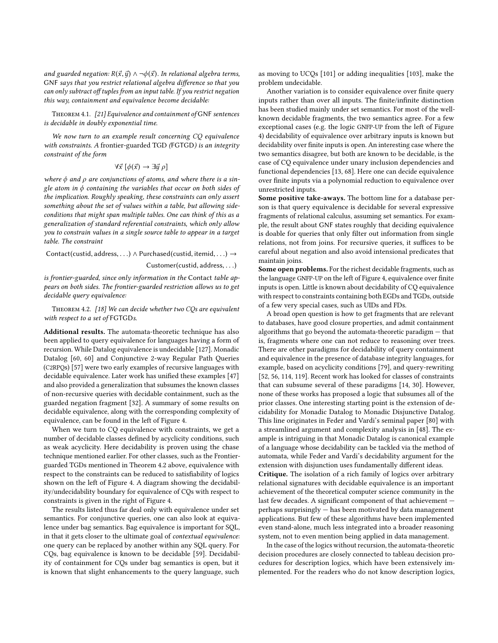and guarded negation:  $R(\vec{x}, \vec{y}) \wedge \neg \phi(\vec{x})$ . In relational algebra terms, GNF says that you restrict relational algebra difference so that you can only subtract off tuples from an input table. If you restrict negation this way, containment and equivalence become decidable:

Theorem 4.1. [\[21\]](#page-13-29) Equivalence and containment of GNF sentences is decidable in doubly exponential time.

We now turn to an example result concerning CQ equivalence with constraints. A frontier-guarded TGD (FGTGD) is an integrity constraint of the form

$$
\forall \vec{x} \; [\phi(\vec{x}) \to \exists \vec{y} \; \rho]
$$

where  $\phi$  and  $\rho$  are conjunctions of atoms, and where there is a single atom in  $\phi$  containing the variables that occur on both sides of the implication. Roughly speaking, these constraints can only assert something about the set of values within a table, but allowing sideconditions that might span multiple tables. One can think of this as a generalization of standard referential constraints, which only allow you to constrain values in a single source table to appear in a target table. The constraint

Contact(custid, address, ...)  $\land$  Purchased(custid, itemid, ...)  $\rightarrow$ Customer(custid, address, . . .)

is frontier-guarded, since only information in the Contact table appears on both sides. The frontier-guarded restriction allows us to get decidable query equivalence:

<span id="page-6-0"></span>THEOREM 4.2. [\[18\]](#page-13-30) We can decide whether two CQs are equivalent with respect to a set of FGTGDs.

Additional results. The automata-theoretic technique has also been applied to query equivalence for languages having a form of recursion. While Datalog equivalence is undecidable [\[127\]](#page-14-33). Monadic Datalog [\[60,](#page-13-22) [60\]](#page-13-22) and Conjunctive 2-way Regular Path Queries (C2RPQs) [\[57\]](#page-13-31) were two early examples of recursive languages with decidable equivalence. Later work has unified these examples [\[47\]](#page-13-32) and also provided a generalization that subsumes the known classes of non-recursive queries with decidable containment, such as the guarded negation fragment [\[32\]](#page-13-33). A summary of some results on decidable equivalence, along with the corresponding complexity of equivalence, can be found in the left of Figure [4.](#page-7-0)

When we turn to CQ equivalence with constraints, we get a number of decidable classes defined by acyclicity conditions, such as weak acyclicity. Here decidability is proven using the chase technique mentioned earlier. For other classes, such as the Frontierguarded TGDs mentioned in Theorem [4.2](#page-6-0) above, equivalence with respect to the constraints can be reduced to satisfiability of logics shown on the left of Figure [4.](#page-7-0) A diagram showing the decidability/undecidability boundary for equivalence of CQs with respect to constraints is given in the right of Figure [4.](#page-7-0)

The results listed thus far deal only with equivalence under set semantics. For conjunctive queries, one can also look at equivalence under bag semantics. Bag equivalence is important for SQL, in that it gets closer to the ultimate goal of contextual equivalence: one query can be replaced by another within any SQL query. For CQs, bag equivalence is known to be decidable [\[59\]](#page-13-34). Decidability of containment for CQs under bag semantics is open, but it is known that slight enhancements to the query language, such

as moving to UCQs [\[101\]](#page-14-34) or adding inequalities [\[103\]](#page-14-35), make the problem undecidable.

Another variation is to consider equivalence over finite query inputs rather than over all inputs. The finite/infinite distinction has been studied mainly under set semantics. For most of the wellknown decidable fragments, the two semantics agree. For a few exceptional cases (e.g. the logic GNFP-UP from the left of Figure [4\)](#page-7-0) decidability of equivalence over arbitrary inputs is known but decidability over finite inputs is open. An interesting case where the two semantics disagree, but both are known to be decidable, is the case of CQ equivalence under unary inclusion dependencies and functional dependencies [\[13,](#page-13-35) [68\]](#page-13-36). Here one can decide equivalence over finite inputs via a polynomial reduction to equivalence over unrestricted inputs.

Some positive take-aways. The bottom line for a database person is that query equivalence is decidable for several expressive fragments of relational calculus, assuming set semantics. For example, the result about GNF states roughly that deciding equivalence is doable for queries that only filter out information from single relations, not from joins. For recursive queries, it suffices to be careful about negation and also avoid intensional predicates that maintain joins.

Some open problems. For the richest decidable fragments, such as the language GNFP-UP on the left of Figure [4,](#page-7-0) equivalence over finite inputs is open. Little is known about decidability of CQ equivalence with respect to constraints containing both EGDs and TGDs, outside of a few very special cases, such as UIDs and FDs.

A broad open question is how to get fragments that are relevant to databases, have good closure properties, and admit containment algorithms that go beyond the automata-theoretic paradigm — that is, fragments where one can not reduce to reasoning over trees. There are other paradigms for decidability of query containment and equivalence in the presence of database integrity languages, for example, based on acyclicity conditions [\[79\]](#page-14-20), and query-rewriting [\[52,](#page-13-37) [56,](#page-13-1) [114,](#page-14-28) [119\]](#page-14-36). Recent work has looked for classes of constraints that can subsume several of these paradigms [\[14,](#page-13-38) [30\]](#page-13-39). However, none of these works has proposed a logic that subsumes all of the prior classes. One interesting starting point is the extension of decidability for Monadic Datalog to Monadic Disjunctive Datalog. This line originates in Feder and Vardi's seminal paper [\[80\]](#page-14-37) with a streamlined argument and complexity analysis in [\[48\]](#page-13-40). The example is intriguing in that Monadic Datalog is canonical example of a language whose decidability can be tackled via the method of automata, while Feder and Vardi's decidability argument for the extension with disjunction uses fundamentally different ideas.

Critique. The isolation of a rich family of logics over arbitrary relational signatures with decidable equivalence is an important achievement of the theoretical computer science community in the last few decades. A significant component of that achievement perhaps surprisingly — has been motivated by data management applications. But few of these algorithms have been implemented even stand-alone, much less integrated into a broader reasoning system, not to even mention being applied in data management.

In the case of the logics without recursion, the automata-theoretic decision procedures are closely connected to tableau decision procedures for description logics, which have been extensively implemented. For the readers who do not know description logics,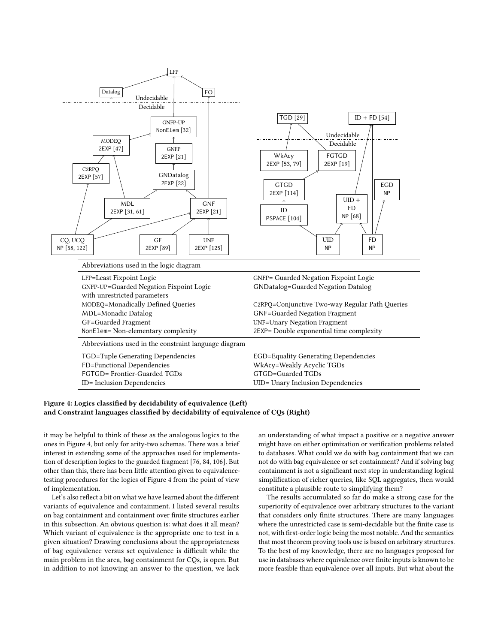<span id="page-7-0"></span>

### Figure 4: Logics classified by decidability of equivalence (Left) and Constraint languages classified by decidability of equivalence of CQs (Right)

it may be helpful to think of these as the analogous logics to the ones in Figure [4,](#page-7-0) but only for arity-two schemas. There was a brief interest in extending some of the approaches used for implementation of description logics to the guarded fragment [\[76,](#page-14-40) [84,](#page-14-41) [106\]](#page-14-42). But other than this, there has been little attention given to equivalencetesting procedures for the logics of Figure [4](#page-7-0) from the point of view of implementation.

Let's also reflect a bit on what we have learned about the different variants of equivalence and containment. I listed several results on bag containment and containment over finite structures earlier in this subsection. An obvious question is: what does it all mean? Which variant of equivalence is the appropriate one to test in a given situation? Drawing conclusions about the appropriateness of bag equivalence versus set equivalence is difficult while the main problem in the area, bag containment for CQs, is open. But in addition to not knowing an answer to the question, we lack

an understanding of what impact a positive or a negative answer might have on either optimization or verification problems related to databases. What could we do with bag containment that we can not do with bag equivalence or set containment? And if solving bag containment is not a significant next step in understanding logical simplification of richer queries, like SQL aggregates, then would constitute a plausible route to simplifying them?

The results accumulated so far do make a strong case for the superiority of equivalence over arbitrary structures to the variant that considers only finite structures. There are many languages where the unrestricted case is semi-decidable but the finite case is not, with first-order logic being the most notable. And the semantics that most theorem proving tools use is based on arbitrary structures. To the best of my knowledge, there are no languages proposed for use in databases where equivalence over finite inputs is known to be more feasible than equivalence over all inputs. But what about the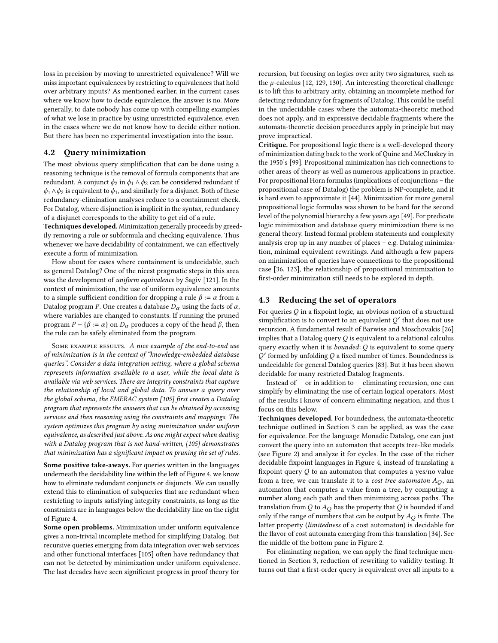loss in precision by moving to unrestricted equivalence? Will we miss important equivalences by restricting to equivalences that hold over arbitrary inputs? As mentioned earlier, in the current cases where we know how to decide equivalence, the answer is no. More generally, to date nobody has come up with compelling examples of what we lose in practice by using unrestricted equivalence, even in the cases where we do not know how to decide either notion. But there has been no experimental investigation into the issue.

## <span id="page-8-0"></span>4.2 Query minimization

The most obvious query simplification that can be done using a reasoning technique is the removal of formula components that are redundant. A conjunct  $\phi_2$  in  $\phi_1 \wedge \phi_2$  can be considered redundant if  $\phi_1 \wedge \phi_2$  is equivalent to  $\phi_1$ , and similarly for a disjunct. Both of these redundancy-elimination analyses reduce to a containment check. For Datalog, where disjunction is implicit in the syntax, redundancy of a disjunct corresponds to the ability to get rid of a rule.

Techniques developed. Minimization generally proceeds by greedily removing a rule or subformula and checking equivalence. Thus whenever we have decidability of containment, we can effectively execute a form of minimization.

How about for cases where containment is undecidable, such as general Datalog? One of the nicest pragmatic steps in this area was the development of uniform equivalence by Sagiv [\[121\]](#page-14-43). In the context of minimization, the use of uniform equivalence amounts to a simple sufficient condition for dropping a rule  $\beta := \alpha$  from a Datalog program P. One creates a database  $D_{\alpha}$  using the facts of  $\alpha$ , where variables are changed to constants. If running the pruned program  $P - \{\beta := \alpha\}$  on  $D_{\alpha}$  produces a copy of the head  $\beta$ , then the rule can be safely eliminated from the program.

SOME EXAMPLE RESULTS. A nice example of the end-to-end use of minimization is in the context of "knowledge-embedded database queries". Consider a data integration setting, where a global schema represents information available to a user, while the local data is available via web services. There are integrity constraints that capture the relationship of local and global data. To answer a query over the global schema, the EMERAC system [\[105\]](#page-14-44) first creates a Datalog program that represents the answers that can be obtained by accessing services and then reasoning using the constraints and mappings. The system optimizes this program by using minimization under uniform equivalence, as described just above. As one might expect when dealing with a Datalog program that is not hand-written, [\[105\]](#page-14-44) demonstrates that minimization has a significant impact on pruning the set of rules.

Some positive take-aways. For queries written in the languages underneath the decidability line within the left of Figure [4,](#page-7-0) we know how to eliminate redundant conjuncts or disjuncts. We can usually extend this to elimination of subqueries that are redundant when restricting to inputs satisfying integrity constraints, as long as the constraints are in languages below the decidability line on the right of Figure [4.](#page-7-0)

Some open problems. Minimization under uniform equivalence gives a non-trivial incomplete method for simplifying Datalog. But recursive queries emerging from data integration over web services and other functional interfaces [\[105\]](#page-14-44) often have redundancy that can not be detected by minimization under uniform equivalence. The last decades have seen significant progress in proof theory for recursion, but focusing on logics over arity two signatures, such as the  $\mu$ -calculus [\[12,](#page-13-13) [129,](#page-14-16) [130\]](#page-14-17). An interesting theoretical challenge is to lift this to arbitrary arity, obtaining an incomplete method for detecting redundancy for fragments of Datalog. This could be useful in the undecidable cases where the automata-theoretic method does not apply, and in expressive decidable fragments where the automata-theoretic decision procedures apply in principle but may prove impractical.

Critique. For propositional logic there is a well-developed theory of minimization dating back to the work of Quine and McCluskey in the 1950's [\[99\]](#page-14-45). Propositional minimization has rich connections to other areas of theory as well as numerous applications in practice. For propositional Horn formulas (implications of conjunctions – the propositional case of Datalog) the problem is NP-complete, and it is hard even to approximate it [\[44\]](#page-13-46). Minimization for more general propositional logic formulas was shown to be hard for the second level of the polynomial hierarchy a few years ago [\[49\]](#page-13-47). For predicate logic minimization and database query minimization there is no general theory. Instead formal problem statements and complexity analysis crop up in any number of places – e.g. Datalog minimization, minimal equivalent rewritings. And although a few papers on minimization of queries have connections to the propositional case [\[36,](#page-13-48) [123\]](#page-14-46), the relationship of propositional minimization to first-order minimization still needs to be explored in depth.

## 4.3 Reducing the set of operators

For queries  $Q$  in a fixpoint logic, an obvious notion of a structural simplification is to convert to an equivalent  $Q'$  that does not use recursion. A fundamental result of Barwise and Moschovakis [\[26\]](#page-13-49) implies that a Datalog query  $Q$  is equivalent to a relational calculus query exactly when it is *bounded*: Q is equivalent to some query  $Q'$  formed by unfolding  $Q$  a fixed number of times. Boundedness is undecidable for general Datalog queries [\[83\]](#page-14-47). But it has been shown decidable for many restricted Datalog fragments.

Instead of  $-$  or in addition to  $-$  eliminating recursion, one can simplify by eliminating the use of certain logical operators. Most of the results I know of concern eliminating negation, and thus I focus on this below.

Techniques developed. For boundedness, the automata-theoretic technique outlined in Section [3](#page-3-0) can be applied, as was the case for equivalence. For the language Monadic Datalog, one can just convert the query into an automaton that accepts tree-like models (see Figure [2\)](#page-5-0) and analyze it for cycles. In the case of the richer decidable fixpoint languages in Figure [4,](#page-7-0) instead of translating a fixpoint query  $Q$  to an automaton that computes a yes/no value from a tree, we can translate it to a *cost tree automaton*  $A_Q$ , an automaton that computes a value from a tree, by computing a number along each path and then minimizing across paths. The translation from Q to  $A_O$  has the property that Q is bounded if and only if the range of numbers that can be output by  $A_O$  is finite. The latter property (limitedness of a cost automaton) is decidable for the flavor of cost automata emerging from this translation [\[34\]](#page-13-50). See the middle of the bottom pane in Figure [2.](#page-5-0)

For eliminating negation, we can apply the final technique mentioned in Section [3,](#page-3-0) reduction of rewriting to validity testing. It turns out that a first-order query is equivalent over all inputs to a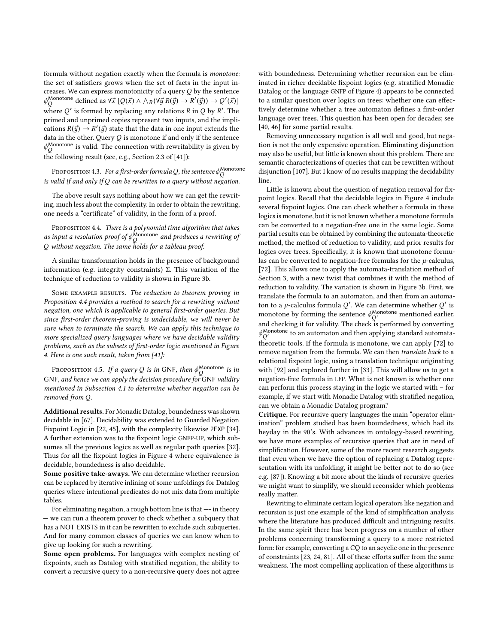formula without negation exactly when the formula is monotone: the set of satisfiers grows when the set of facts in the input increases. We can express monotonicity of a query  $Q$  by the sentence  $\phi_{\Omega}^{\text{Monotone}}$  defined as  $\forall \vec{x} [Q(\vec{x}) \wedge \wedge_R(\forall \vec{y} R(\vec{y}) \rightarrow R'(\vec{y})) \rightarrow Q'(\vec{x})]$ where  $Q'$  is formed by replacing any relations  $R$  in  $Q$  by  $R'.$  The primed and unprimed copies represent two inputs, and the implications  $R(\vec{y}) \rightarrow R'(\vec{y})$  state that the data in one input extends the data in the other Query Q is monotone if and only if the sentence data in the other. Query  $Q$  is monotone if and only if the sentence  $\phi^{\text{Monotone}}_{Q}$  is valid. The connection with rewritability is given by the following result (see, e.g., Section 2.3 of [\[41\]](#page-13-24)):

<span id="page-9-1"></span>PROPOSITION 4.3. For a first-order formula Q, the sentence  $\phi_Q^{\text{Monotone}}$  is valid if and only if Q can be rewritten to a query without negation.

The above result says nothing about how we can get the rewriting, much less about the complexity. In order to obtain the rewriting, one needs a "certificate" of validity, in the form of a proof.

<span id="page-9-0"></span>PROPOSITION 4.4. There is a polynomial time algorithm that takes as input a resolution proof of  $\phi^{\text{Monotone}}_{Q}$  and produces a rewriting of Q without negation. The same holds for a tableau proof.

A similar transformation holds in the presence of background information (e.g. integrity constraints) Σ. This variation of the technique of reduction to validity is shown in Figure [3b.](#page-5-1)

SOME EXAMPLE RESULTS. The reduction to theorem proving in Proposition [4.4](#page-9-0) provides a method to search for a rewriting without negation, one which is applicable to general first-order queries. But since first-order theorem-proving is undecidable, we will never be sure when to terminate the search. We can apply this technique to more specialized query languages where we have decidable validity problems, such as the subsets of first-order logic mentioned in Figure [4.](#page-7-0) Here is one such result, taken from [\[41\]](#page-13-24):

Proposition 4.5. If a query Q is in GNF, then  $\phi^{\text{Monotone}}_{Q}$  is in GNF, and hence we can apply the decision procedure for GNF validity mentioned in Subsection [4.1](#page-4-1) to determine whether negation can be removed from Q.

Additional results. For Monadic Datalog, boundedness was shown decidable in [\[67\]](#page-13-51). Decidability was extended to Guarded Negation Fixpoint Logic in [\[22,](#page-13-20) [45\]](#page-13-52), with the complexity likewise 2EXP [\[34\]](#page-13-50). A further extension was to the fixpoint logic GNFP-UP, which subsumes all the previous logics as well as regular path queries [\[32\]](#page-13-33). Thus for all the fixpoint logics in Figure [4](#page-7-0) where equivalence is decidable, boundedness is also decidable.

Some positive take-aways. We can determine whether recursion can be replaced by iterative inlining of some unfoldings for Datalog queries where intentional predicates do not mix data from multiple tables.

For eliminating negation, a rough bottom line is that —- in theory — we can run a theorem prover to check whether a subquery that has a NOT EXISTS in it can be rewritten to exclude such subqueries. And for many common classes of queries we can know when to give up looking for such a rewriting.

Some open problems. For languages with complex nesting of fixpoints, such as Datalog with stratified negation, the ability to convert a recursive query to a non-recursive query does not agree

with boundedness. Determining whether recursion can be eliminated in richer decidable fixpoint logics (e.g. stratified Monadic Datalog or the language GNFP of Figure [4\)](#page-7-0) appears to be connected to a similar question over logics on trees: whether one can effectively determine whether a tree automaton defines a first-order language over trees. This question has been open for decades; see [\[40,](#page-13-53) [46\]](#page-13-54) for some partial results.

Removing unnecessary negation is all well and good, but negation is not the only expensive operation. Eliminating disjunction may also be useful, but little is known about this problem. There are semantic characterizations of queries that can be rewritten without disjunction [\[107\]](#page-14-48). But I know of no results mapping the decidability line.

Little is known about the question of negation removal for fixpoint logics. Recall that the decidable logics in Figure [4](#page-7-0) include several fixpoint logics. One can check whether a formula in these logics is monotone, but it is not known whether a monotone formula can be converted to a negation-free one in the same logic. Some partial results can be obtained by combining the automata-theoretic method, the method of reduction to validity, and prior results for logics over trees. Specifically, it is known that monotone formulas can be converted to negation-free formulas for the  $\mu$ -calculus, [\[72\]](#page-13-55). This allows one to apply the automata-translation method of Section [3,](#page-3-0) with a new twist that combines it with the method of reduction to validity. The variation is shown in Figure [3b.](#page-5-1) First, we translate the formula to an automaton, and then from an automaton to a  $\mu$ -calculus formula  $Q'$ . We can determine whether  $Q'$  is monotone by forming the sentence  $\phi^{\text{Monotone}}_{Q'}$  mentioned earlier, and checking it for validity. The check is performed by converting  $\phi^{\text{Monotone}}_{Q'}$  to an automaton and then applying standard automatatheoretic tools. If the formula is monotone, we can apply [\[72\]](#page-13-55) to remove negation from the formula. We can then translate back to a relational fixpoint logic, using a translation technique originating with [\[92\]](#page-14-49) and explored further in [\[33\]](#page-13-56). This will allow us to get a negation-free formula in LFP. What is not known is whether one can perform this process staying in the logic we started with – for example, if we start with Monadic Datalog with stratified negation, can we obtain a Monadic Datalog program?

Critique. For recursive query languages the main "operator elimination" problem studied has been boundedness, which had its heyday in the 90's. With advances in ontology-based rewriting, we have more examples of recursive queries that are in need of simplification. However, some of the more recent research suggests that even when we have the option of replacing a Datalog representation with its unfolding, it might be better not to do so (see e.g. [\[87\]](#page-14-50)). Knowing a bit more about the kinds of recursive queries we might want to simplify, we should reconsider which problems really matter.

Rewriting to eliminate certain logical operators like negation and recursion is just one example of the kind of simplification analysis where the literature has produced difficult and intriguing results. In the same spirit there has been progress on a number of other problems concerning transforming a query to a more restricted form: for example, converting a CQ to an acyclic one in the presence of constraints [\[23,](#page-13-57) [24,](#page-13-58) [81\]](#page-14-51). All of these efforts suffer from the same weakness. The most compelling application of these algorithms is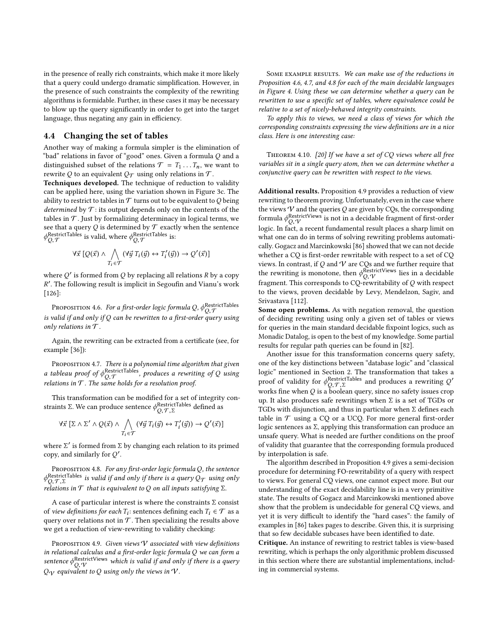in the presence of really rich constraints, which make it more likely that a query could undergo dramatic simplification. However, in the presence of such constraints the complexity of the rewriting algorithms is formidable. Further, in these cases it may be necessary to blow up the query significantly in order to get into the target language, thus negating any gain in efficiency.

#### <span id="page-10-4"></span>4.4 Changing the set of tables

Another way of making a formula simpler is the elimination of "bad" relations in favor of "good" ones. Given a formula Q and a distinguished subset of the relations  $\mathcal{T} = T_1 \dots T_n$ , we want to rewrite  $Q$  to an equivalent  $Q_{\mathcal{T}}$  using only relations in  $\mathcal{T}.$ 

Techniques developed. The technique of reduction to validity can be applied here, using the variation shown in Figure [3c.](#page-5-1) The ability to restrict to tables in  $\mathcal T$  turns out to be equivalent to  $Q$  being determined by  $\mathcal T$ : its output depends only on the contents of the tables in  $\mathcal T$ . Just by formalizing determinacy in logical terms, we see that a query  ${\mathcal Q}$  is determined by  ${\mathcal T}$  exactly when the sentence  $\phi_{Q,\mathcal{T}}^{\text{RestrictTables}}$  is valid, where  $\phi_{Q,\mathcal{T}}^{\text{RestrictTables}}$  is:

$$
\forall \vec{x} \ [Q(\vec{x}) \land \bigwedge_{T_i \in \mathcal{T}} (\forall \vec{y} \ T_i(\vec{y}) \leftrightarrow T'_i(\vec{y})) \rightarrow Q'(\vec{x})]
$$

where  $Q'$  is formed from  $Q$  by replacing all relations  $R$  by a copy R ′ . The following result is implicit in Segoufin and Vianu's work [\[126\]](#page-14-31):

<span id="page-10-0"></span>PROPOSITION 4.6. For a first-order logic formula Q,  $\phi_{Q,\mathcal{T}}^{\text{RestrictTables}}$ is valid if and only if  $Q$  can be rewritten to a first-order query using only relations in  $T$ .

Again, the rewriting can be extracted from a certificate (see, for example [\[36\]](#page-13-48)):

<span id="page-10-1"></span>PROPOSITION 4.7. There is a polynomial time algorithm that given a tableau proof of  $\phi_{Q,\mathcal{T}}^{\text{RestrictTables}}$ , produces a rewriting of Q using<br>relations in T. The same holds for a resolution proof relations in  $T$ . The same holds for a resolution proof.

This transformation can be modified for a set of integrity constraints Σ. We can produce sentence  $\phi^{\text{RestrictTables}}_{Q, \mathcal{T}, \Sigma}$  defined as

$$
\forall \vec{x} \left[ \Sigma \wedge \Sigma' \wedge Q(\vec{x}) \wedge \bigwedge_{T_i \in \mathcal{T}} (\forall \vec{y} \; T_i(\vec{y}) \leftrightarrow T'_i(\vec{y})) \rightarrow Q'(\vec{x}) \right]
$$

where  $\Sigma'$  is formed from  $\Sigma$  by changing each relation to its primed<br>copy and similarly for  $O'$ copy, and similarly for Q ′ .

<span id="page-10-2"></span>PROPOSITION 4.8. For any first-order logic formula Q, the sentence  $\phi_{Q,\mathcal{T},\Sigma}^{\text{RestrictTables}}$  is valid if and only if there is a query  $Q_{\mathcal{T}}$  using only  $Q_{Q,\mathcal{T},\Sigma}$  that is equivalent to 0 on all inputs satisfying  $\Sigma$ relations in  $\mathcal T$  that is equivalent to Q on all inputs satisfying  $\Sigma$ .

A case of particular interest is where the constraints  $\Sigma$  consist of view definitions for each  $T_i$ : sentences defining each  $T_i \in \mathcal{T}$  as a query over relations not in  $\mathcal T$ . Then specializing the results above we get a reduction of view-rewriting to validity checking:

<span id="page-10-3"></span>PROPOSITION 4.9. Given views  $V$  associated with view definitions in relational calculus and a first-order logic formula Q we can form a sentence  $\phi_{Q,V}^{\text{RestrictView}}$  which is valid if and only if there is a query<br>Oar equivalent to Q using only the views in V  $Q_V$  equivalent to Q using only the views in  $V$ .

SOME EXAMPLE RESULTS. We can make use of the reductions in Proposition [4.6,](#page-10-0) [4.7,](#page-10-1) and [4.8](#page-10-2) for each of the main decidable languages in Figure [4.](#page-7-0) Using these we can determine whether a query can be rewritten to use a specific set of tables, where equivalence could be relative to a set of nicely-behaved integrity constraints.

To apply this to views, we need a class of views for which the corresponding constraints expressing the view definitions are in a nice class. Here is one interesting case:

Theorem 4.10. [\[20\]](#page-13-59) If we have a set of CQ views where all free variables sit in a single query atom, then we can determine whether a conjunctive query can be rewritten with respect to the views.

Additional results. Proposition [4.9](#page-10-3) provides a reduction of view rewriting to theorem proving. Unfortunately, even in the case where the views  $V$  and the queries  $Q$  are given by CQs, the corresponding formula  $\phi_O^{\text{RestrictViews}}$  is not in a decidable fragment of first-order Formula  $\varphi_{Q,\mathcal{V}}$  is not in a decidence fragment of first-order<br>logic. In fact, a recent fundamental result places a sharp limit on what one can do in terms of solving rewriting problems automatically. Gogacz and Marcinkowski [\[86\]](#page-14-52) showed that we can not decide whether a CQ is first-order rewritable with respect to a set of CQ views. In contrast, if  $Q$  and  $\mathcal V$  are CQs and we further require that the rewriting is monotone, then  $\phi_{Q,\gamma}^{\text{RestrictViews}}$  lies in a decidable fragment. This corresponds to CO-rewritability of O with respect fragment. This corresponds to CQ-rewritability of Q with respect to the views, proven decidable by Levy, Mendelzon, Sagiv, and Srivastava [\[112\]](#page-14-53).

Some open problems. As with negation removal, the question of deciding rewriting using only a given set of tables or views for queries in the main standard decidable fixpoint logics, such as Monadic Datalog, is open to the best of my knowledge. Some partial results for regular path queries can be found in [\[82\]](#page-14-54).

Another issue for this transformation concerns query safety, one of the key distinctions between "database logic" and "classical logic" mentioned in Section [2.](#page-1-0) The transformation that takes a proof of validity for  $\phi_O^{\text{RestrictTables}}$  and produces a rewriting Q' proof of validity for  $\varphi_{Q, \mathcal{T}, \Sigma}$  and produces a fewfitting  $\varphi$  works fine when Q is a boolean query, since no safety issues crop up. It also produces safe rewritings when Σ is a set of TGDs or TGDs with disjunction, and thus in particular when Σ defines each table in  $T$  using a CQ or a UCQ. For more general first-order logic sentences as Σ, applying this transformation can produce an unsafe query. What is needed are further conditions on the proof of validity that guarantee that the corresponding formula produced by interpolation is safe.

The algorithm described in Proposition [4.9](#page-10-3) gives a semi-decision procedure for determining FO-rewritability of a query with respect to views. For general CQ views, one cannot expect more. But our understanding of the exact decidability line is in a very primitive state. The results of Gogacz and Marcinkowski mentioned above show that the problem is undecidable for general CQ views, and yet it is very difficult to identify the "hard cases": the family of examples in [\[86\]](#page-14-52) takes pages to describe. Given this, it is surprising that so few decidable subcases have been identified to date.

Critique. An instance of rewriting to restrict tables is view-based rewriting, which is perhaps the only algorithmic problem discussed in this section where there are substantial implementations, including in commercial systems.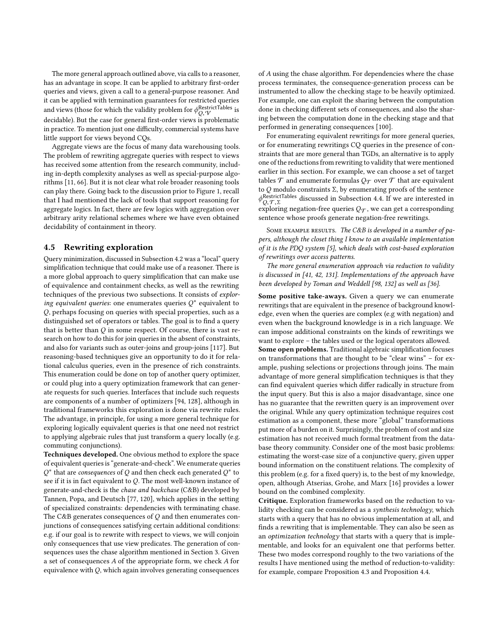The more general approach outlined above, via calls to a reasoner, has an advantage in scope. It can be applied to arbitrary first-order queries and views, given a call to a general-purpose reasoner. And it can be applied with termination guarantees for restricted queries and views (those for which the validity problem for  $\phi_O^{\text{RestrictTables}}$  is and views (those for which the vandity problem for  $\varphi_{Q,\mathcal{V}}$  is decidable). But the case for general first-order views is problematic in practice. To mention just one difficulty, commercial systems have little support for views beyond CQs.

Aggregate views are the focus of many data warehousing tools. The problem of rewriting aggregate queries with respect to views has received some attention from the research community, including in-depth complexity analyses as well as special-purpose algorithms [\[11,](#page-13-60) [66\]](#page-13-61). But it is not clear what role broader reasoning tools can play there. Going back to the discussion prior to Figure [1,](#page-3-1) recall that I had mentioned the lack of tools that support reasoning for aggregate logics. In fact, there are few logics with aggregation over arbitrary arity relational schemes where we have even obtained decidability of containment in theory.

## 4.5 Rewriting exploration

Query minimization, discussed in Subsection [4.2](#page-8-0) was a "local" query simplification technique that could make use of a reasoner. There is a more global approach to query simplification that can make use of equivalence and containment checks, as well as the rewriting techniques of the previous two subsections. It consists of exploring equivalent queries: one enumerates queries  $Q^*$  equivalent to Q, perhaps focusing on queries with special properties, such as a distinguished set of operators or tables. The goal is to find a query that is better than  $Q$  in some respect. Of course, there is vast research on how to do this for join queries in the absent of constraints, and also for variants such as outer-joins and group-joins [\[117\]](#page-14-55). But reasoning-based techniques give an opportunity to do it for relational calculus queries, even in the presence of rich constraints. This enumeration could be done on top of another query optimizer, or could plug into a query optimization framework that can generate requests for such queries. Interfaces that include such requests are components of a number of optimizers [\[94,](#page-14-56) [128\]](#page-14-57), although in traditional frameworks this exploration is done via rewrite rules. The advantage, in principle, for using a more general technique for exploring logically equivalent queries is that one need not restrict to applying algebraic rules that just transform a query locally (e.g. commuting conjunctions).

Techniques developed. One obvious method to explore the space of equivalent queries is "generate-and-check". We enumerate queries  $Q^*$  that are consequences of  $Q$  and then check each generated  $Q^*$  to see if it is in fact equivalent to Q. The most well-known instance of generate-and-check is the chase and backchase (C&B) developed by Tannen, Popa, and Deutsch [\[77,](#page-14-58) [120\]](#page-14-59), which applies in the setting of specialized constraints: dependencies with terminating chase. The C&B generates consequences of  $Q$  and then enumerates conjunctions of consequences satisfying certain additional conditions: e.g. if our goal is to rewrite with respect to views, we will conjoin only consequences that use view predicates. The generation of consequences uses the chase algorithm mentioned in Section [3.](#page-3-0) Given a set of consequences A of the appropriate form, we check A for equivalence with Q, which again involves generating consequences

of A using the chase algorithm. For dependencies where the chase process terminates, the consequence-generation process can be instrumented to allow the checking stage to be heavily optimized. For example, one can exploit the sharing between the computation done in checking different sets of consequences, and also the sharing between the computation done in the checking stage and that performed in generating consequences [\[100\]](#page-14-60).

For enumerating equivalent rewritings for more general queries, or for enumerating rewritings CQ queries in the presence of constraints that are more general than TGDs, an alternative is to apply one of the reductions from rewriting to validity that were mentioned earlier in this section. For example, we can choose a set of target tables  $\mathcal T$  and enumerate formulas  $\mathcal Q_{\mathcal T}$  over  $\mathcal T$  that are equivalent to  $Q$  modulo constraints  $\Sigma$ , by enumerating proofs of the sentence  $\phi_{O}^{\text{RestrictTables}}$  discussed in Subsection [4.4.](#page-10-4) If we are interested in  $\psi_{Q,\mathcal{T},\Sigma}$  and discussed in ourselection 4.4. If we are interested in exploring negation-free queries  $Q_{\mathcal{T}}$ , we can get a corresponding sentence whose proofs generate negation-free rewritings.

SOME EXAMPLE RESULTS. The C&B is developed in a number of papers, although the closet thing I know to an available implementation of it is the PDQ system [\[5\]](#page-13-62), which deals with cost-based exploration of rewritings over access patterns.

The more general enumeration approach via reduction to validity is discussed in [\[41,](#page-13-24) [42,](#page-13-26) [131\]](#page-14-29). Implementations of the approach have been developed by Toman and Weddell [\[98,](#page-14-61) [132\]](#page-14-62) as well as [\[36\]](#page-13-48).

Some positive take-aways. Given a query we can enumerate rewritings that are equivalent in the presence of background knowledge, even when the queries are complex (e.g with negation) and even when the background knowledge is in a rich language. We can impose additional constraints on the kinds of rewritings we want to explore – the tables used or the logical operators allowed. Some open problems. Traditional algebraic simplification focuses on transformations that are thought to be "clear wins" – for example, pushing selections or projections through joins. The main advantage of more general simplification techniques is that they can find equivalent queries which differ radically in structure from the input query. But this is also a major disadvantage, since one has no guarantee that the rewritten query is an improvement over the original. While any query optimization technique requires cost estimation as a component, these more "global" transformations put more of a burden on it. Surprisingly, the problem of cost and size estimation has not received much formal treatment from the database theory community. Consider one of the most basic problems: estimating the worst-case size of a conjunctive query, given upper bound information on the constituent relations. The complexity of this problem (e.g. for a fixed query) is, to the best of my knowledge, open, although Atserias, Grohe, and Marx [\[16\]](#page-13-63) provides a lower bound on the combined complexity.

Critique. Exploration frameworks based on the reduction to validity checking can be considered as a synthesis technology, which starts with a query that has no obvious implementation at all, and finds a rewriting that is implementable. They can also be seen as an optimization technology that starts with a query that is implementable, and looks for an equivalent one that performs better. These two modes correspond roughly to the two variations of the results I have mentioned using the method of reduction-to-validity: for example, compare Proposition [4.3](#page-9-1) and Proposition [4.4.](#page-9-0)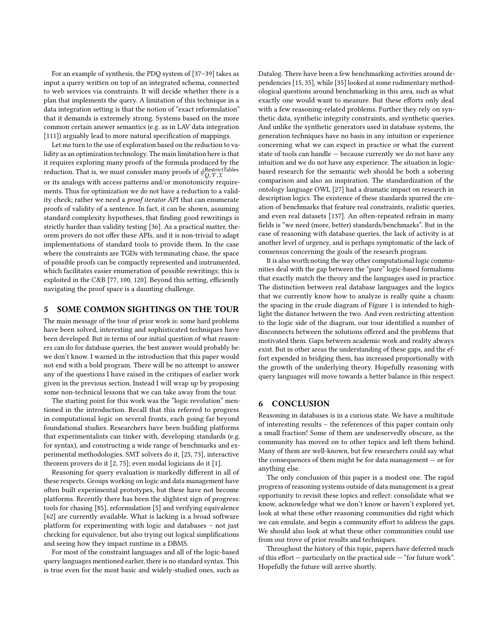For an example of synthesis, the PDQ system of [\[37–](#page-13-64)[39\]](#page-13-65) takes as input a query written on top of an integrated schema, connected to web services via constraints. It will decide whether there is a plan that implements the query. A limitation of this technique in a data integration setting is that the notion of "exact reformulation" that it demands is extremely strong. Systems based on the more common certain answer semantics (e.g. as in LAV data integration [\[111\]](#page-14-63)) arguably lead to more natural specification of mappings.

Let me turn to the use of exploration based on the reduction to validity as an optimization technology. The main limitation here is that it requires exploring many proofs of the formula produced by the reduction. That is, we must consider many proofs of  $\phi_O^{\rm RestrictTables}$  $\alpha_{Q,\mathcal{T},\Sigma}$  or its analogs with access patterns and/or monotonicity requirements. Thus for optimization we do not have a reduction to a validity check; rather we need a proof iterator API that can enumerate proofs of validity of a sentence. In fact, it can be shown, assuming standard complexity hypotheses, that finding good rewritings is strictly harder than validity testing [\[36\]](#page-13-48). As a practical matter, theorem provers do not offer these APIs, and it is non-trivial to adapt implementations of standard tools to provide them. In the case where the constraints are TGDs with terminating chase, the space of possible proofs can be compactly represented and instrumented, which facilitates easier enumeration of possible rewritings; this is exploited in the C&B [\[77,](#page-14-58) [100,](#page-14-60) [120\]](#page-14-59). Beyond this setting, efficiently navigating the proof space is a daunting challenge.

# <span id="page-12-0"></span>5 SOME COMMON SIGHTINGS ON THE TOUR

The main message of the tour of prior work is: some hard problems have been solved, interesting and sophisticated techniques have been developed. But in terms of our initial question of what reasoners can do for database queries, the best answer would probably be: we don't know. I warned in the introduction that this paper would not end with a bold program. There will be no attempt to answer any of the questions I have raised in the critiques of earlier work given in the previous section. Instead I will wrap up by proposing some non-technical lessons that we can take away from the tour.

The starting point for this work was the "logic revolution" mentioned in the introduction. Recall that this referred to progress in computational logic on several fronts, each going far beyond foundational studies. Researchers have been building platforms that experimentalists can tinker with, developing standards (e.g. for syntax), and constructing a wide range of benchmarks and experimental methodologies. SMT solvers do it, [\[25,](#page-13-66) [73\]](#page-14-64), interactive theorem provers do it [\[2,](#page-13-7) [75\]](#page-14-5); even modal logicians do it [\[1\]](#page-13-67).

Reasoning for query evaluation is markedly different in all of these respects. Groups working on logic and data management have often built experimental prototypes, but these have not become platforms. Recently there has been the slightest sign of progress: tools for chasing [\[85\]](#page-14-65), reformulation [\[5\]](#page-13-62) and verifying equivalence [\[62\]](#page-13-14) are currently available. What is lacking is a broad software platform for experimenting with logic and databases – not just checking for equivalence, but also trying out logical simplifications and seeing how they impact runtime in a DBMS.

For most of the constraint languages and all of the logic-based query languages mentioned earlier, there is no standard syntax. This is true even for the most basic and widely-studied ones, such as Datalog. There have been a few benchmarking activities around dependencies [\[15,](#page-13-68) [35\]](#page-13-69), while [\[35\]](#page-13-69) looked at some rudimentary methodological questions around benchmarking in this area, such as what exactly one would want to measure. But these efforts only deal with a few reasoning-related problems. Further they rely on synthetic data, synthetic integrity constraints, and synthetic queries. And unlike the synthetic generators used in database systems, the generation techniques have no basis in any intuition or experience concerning what we can expect in practice or what the current state of tools can handle — because currently we do not have any intuition and we do not have any experience. The situation in logicbased research for the semantic web should be both a sobering comparison and also an inspiration. The standardization of the ontology language OWL [\[27\]](#page-13-70) had a dramatic impact on research in description logics. The existence of these standards spurred the creation of benchmarks that feature real constraints, realistic queries, and even real datasets [\[137\]](#page-14-66). An often-repeated refrain in many fields is "we need (more, better) standards/benchmarks". But in the case of reasoning with database queries, the lack of activity is at another level of urgency, and is perhaps symptomatic of the lack of consensus concerning the goals of the research program.

It is also worth noting the way other computational logic communities deal with the gap between the "pure" logic-based formalisms that exactly match the theory and the languages used in practice. The distinction between real database languages and the logics that we currently know how to analyze is really quite a chasm: the spacing in the crude diagram of Figure [1](#page-3-1) is intended to highlight the distance between the two. And even restricting attention to the logic side of the diagram, our tour identified a number of disconnects between the solutions offered and the problems that motivated them. Gaps between academic work and reality always exist. But in other areas the understanding of these gaps, and the effort expended in bridging them, has increased proportionally with the growth of the underlying theory. Hopefully reasoning with query languages will move towards a better balance in this respect.

#### <span id="page-12-1"></span>6 CONCLUSION

Reasoning in databases is in a curious state. We have a multitude of interesting results – the references of this paper contain only a small fraction! Some of them are undeservedly obscure, as the community has moved on to other topics and left them behind. Many of them are well-known, but few researchers could say what the consequences of them might be for data management — or for anything else.

The only conclusion of this paper is a modest one. The rapid progress of reasoning systems outside of data management is a great opportunity to revisit these topics and reflect: consolidate what we know, acknowledge what we don't know or haven't explored yet, look at what these other reasoning communities did right which we can emulate, and begin a community effort to address the gaps. We should also look at what these other communities could use from our trove of prior results and techniques.

Throughout the history of this topic, papers have deferred much of this effort — particularly on the practical side — "for future work". Hopefully the future will arrive shortly.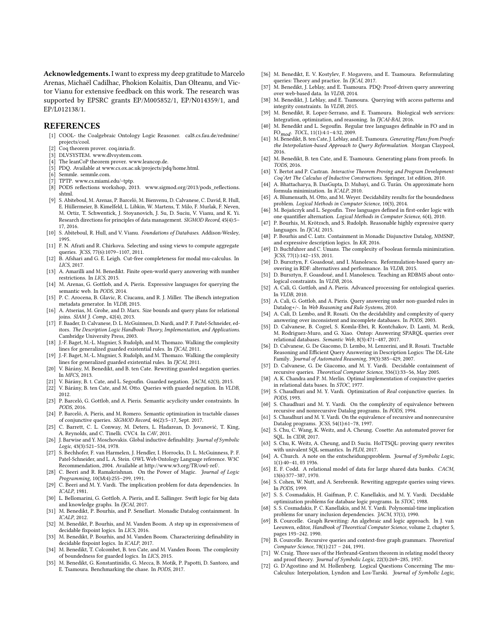Acknowledgements. I want to express my deep gratitude to Marcelo Arenas, Michaël Cadilhac, Phokion Kolaitis, Dan Olteanu, and Victor Vianu for extensive feedback on this work. The research was supported by EPSRC grants EP/M005852/1, EP/N014359/1, and EP/L012138/1.

#### REFERENCES

- <span id="page-13-67"></span>[1] COOL- the Coalgebraic Ontology Logic Reasoner. [cal8.cs.fau.de/redmine/](cal8.cs.fau.de/redmine/projects/cool) [projects/cool.](cal8.cs.fau.de/redmine/projects/cool)
- <span id="page-13-7"></span>[2] Coq theorem prover. [coq.inria.fr.](coq.inria.fr)
- <span id="page-13-16"></span>DLVSYSTEM. [www.dlvsystem.com.](www.dlvsystem.com)
- <span id="page-13-12"></span>[4] The leanCoP theorem prover. [www.leancop.de.](www.leancop.de)
- <span id="page-13-62"></span>[5] PDQ. Available at [www.cs.ox.ac.uk/projects/pdq/home.html.](www.cs.ox.ac.uk/projects/pdq/home.html)
- <span id="page-13-17"></span>[6] Semmle. [semmle.com.](semmle.com)
- <span id="page-13-6"></span>[7] TPTP. [www.cs.miami.edu/~tptp.](www.cs.miami.edu/~tptp)
- <span id="page-13-10"></span>[8] PODS reflections workshop, 2013. [www.sigmod.org/2013/pods\\_reflections.](www.sigmod.org/2013/pods_reflections.shtml) [shtml.](www.sigmod.org/2013/pods_reflections.shtml)
- <span id="page-13-9"></span>[9] S. Abiteboul, M. Arenas, P. Barceló, M. Bienvenu, D. Calvanese, C. David, R. Hull, E. Hüllermeier, B. Kimelfeld, L. Libkin, W. Martens, T. Milo, F. Murlak, F. Neven, M. Ortiz, T. Schwentick, J. Stoyanovich, J. Su, D. Suciu, V. Vianu, and K. Yi. Research directions for principles of data management. SIGMOD Record, 45(4):5– 17, 2016.
- <span id="page-13-27"></span>[10] S. Abiteboul, R. Hull, and V. Vianu. Foundations of Databases. Addison-Wesley, 1995.
- <span id="page-13-60"></span>[11] F. N. Afrati and R. Chirkova. Selecting and using views to compute aggregate queries. JCSS, 77(6):1079–1107, 2011.
- <span id="page-13-13"></span>[12] B. Afshari and G. E. Leigh. Cut-free completeness for modal mu-calculus. In LICS, 2017.
- <span id="page-13-35"></span>[13] A. Amarilli and M. Benedikt. Finite open-world query answering with number restrictions. In LICS, 2015.
- <span id="page-13-38"></span>[14] M. Arenas, G. Gottlob, and A. Pieris. Expressive languages for querying the semantic web. In PODS, 2014.
- <span id="page-13-68"></span>[15] P. C. Arocena, B. Glavic, R. Ciucanu, and R. J. Miller. The iBench integration metadata generator. In VLDB, 2015.
- <span id="page-13-63"></span>[16] A. Atserias, M. Grohe, and D. Marx. Size bounds and query plans for relational joins. SIAM J. Comp., 42(4), 2013.
- <span id="page-13-5"></span>[17] F. Baader, D. Calvanese, D. L. McGuinness, D. Nardi, and P. F. Patel-Schneider, editors. The Description Logic Handbook: Theory, Implementation, and Applications. Cambridge University Press, 2003.
- <span id="page-13-30"></span>[18] J.-F. Baget, M.-L. Mugnier, S. Rudolph, and M. Thomazo. Walking the complexity lines for generalized guarded existential rules. In IJCAI, 2011.
- <span id="page-13-42"></span>[19] J.-F. Baget, M.-L. Mugnier, S. Rudolph, and M. Thomazo. Walking the complexity lines for generalized guarded existential rules. In IJCAI, 2011.
- <span id="page-13-59"></span>[20] V. Bárány, M. Benedikt, and B. ten Cate. Rewriting guarded negation queries. In MFCS, 2013.
- <span id="page-13-29"></span>[21] V. Bárány, B. t. Cate, and L. Segoufin. Guarded negation. JACM, 62(3), 2015.
- <span id="page-13-20"></span>[22] V. Bárány, B. ten Cate, and M. Otto. Queries with guarded negation. In VLDB, 2012.
- <span id="page-13-57"></span>[23] P. Barceló, G. Gottlob, and A. Pieris. Semantic acyclicity under constraints. In PODS, 2016.
- <span id="page-13-58"></span>[24] P. Barceló, A. Pieris, and M. Romero. Semantic optimization in tractable classes of conjunctive queries. SIGMOD Record, 46(2):5–17, Sept. 2017.
- <span id="page-13-66"></span>[25] C. Barrett, C. L. Conway, M. Deters, L. Hadarean, D. Jovanović, T. King, A. Reynolds, and C. Tinelli. CVC4. In CAV, 2011.
- <span id="page-13-49"></span>[26] J. Barwise and Y. Moschovakis. Global inductive definability. Journal of Symbolic Logic, 43(3):521–534, 1978.
- <span id="page-13-70"></span>[27] S. Bechhofer, F. van Harmelen, J. Hendler, I. Horrocks, D. L. McGuinness, P. F. Patel-Schneider, and L. A. Stein. OWL Web Ontology Language reference. W3C Recommendation, 2004. Available at [http://www.w3.org/TR/owl-ref/.](http://www.w3.org/TR/owl-ref/)
- <span id="page-13-18"></span>[28] C. Beeri and R. Ramakrishnan. On the Power of Magic. Journal of Logic Programming, 10(3&4):255–299, 1991.
- <span id="page-13-45"></span>[29] C. Beeri and M. Y. Vardi. The implication problem for data dependencies. In ICALP, 1981.
- <span id="page-13-39"></span>[30] L. Bellomarini, G. Gottlob, A. Pieris, and E. Sallinger. Swift logic for big data and knowledge graphs. In IJCAI, 2017.
- <span id="page-13-41"></span>[31] M. Benedikt, P. Bourhis, and P. Senellart. Monadic Datalog containment. In ICALP, 2012.
- <span id="page-13-33"></span>[32] M. Benedikt, P. Bourhis, and M. Vanden Boom. A step up in expressiveness of decidable fixpoint logics. In LICS, 2016.
- <span id="page-13-56"></span>[33] M. Benedikt, P. Bourhis, and M. Vanden Boom. Characterizing definability in decidable fixpoint logics. In ICALP, 2017.
- <span id="page-13-50"></span>[34] M. Benedikt, T. Colcombet, B. ten Cate, and M. Vanden Boom. The complexity of boundedness for guarded logics. In LICS, 2015.
- <span id="page-13-69"></span>[35] M. Benedikt, G. Konstantinidis, G. Mecca, B. Motik, P. Papotti, D. Santoro, and E. Tsamoura. Benchmarking the chase. In PODS, 2017.
- <span id="page-13-48"></span>[36] M. Benedikt, E. V. Kostylev, F. Mogavero, and E. Tsamoura. Reformulating queries: Theory and practice. In IJCAI, 2017.
- <span id="page-13-64"></span>[37] M. Benedikt, J. Leblay, and E. Tsamoura. PDQ: Proof-driven query answering over web-based data. In VLDB, 2014.
- [38] M. Benedikt, J. Leblay, and E. Tsamoura. Querying with access patterns and integrity constraints. In VLDB, 2015.
- <span id="page-13-65"></span>[39] M. Benedikt, R. Lopez-Serrano, and E. Tsamoura. Biological web services: Integration, optimization, and reasoning. In IJCAI-BAI, 2016.
- <span id="page-13-53"></span>[40] M. Benedikt and L. Segoufin. Regular tree languages definable in FO and in  $F$ FO $_{mod}$ . TOCL, 11(1):4:1–4:32, 2009.<br>[41] M. Benedikt, B. ten Cate, J. Leblay, and E. Tsamoura. *Generating Plans from Proofs*:
- <span id="page-13-24"></span>the Interpolation-based Approach to Query Reformulation. Morgan Claypool, 2016.
- <span id="page-13-26"></span>[42] M. Benedikt, B. ten Cate, and E. Tsamoura. Generating plans from proofs. In TODS, 2016.
- <span id="page-13-8"></span>[43] Y. Bertot and P. Castran. Interactive Theorem Proving and Program Development: Coq'Art The Calculus of Inductive Constructions. Springer, 1st edition, 2010.
- <span id="page-13-46"></span>[44] A. Bhattacharya, B. DasGupta, D. Mubayi, and G. Turán. On approximate horn formula minimization. In ICALP, 2010.
- <span id="page-13-52"></span>[45] A. Blumensath, M. Otto, and M. Weyer. Decidability results for the boundedness problem. Logical Methods in Computer Science, 10(3), 2014.
- <span id="page-13-54"></span>[46] M. Bojańczyk and L. Segoufin. Tree languages defined in first-order logic with one quantifier alternation. Logical Methods in Computer Science, 6(4), 2010.
- <span id="page-13-32"></span>[47] P. Bourhis, M. Krötzsch, and S. Rudolph. Reasonable highly expressive query languages. In IJCAI, 2015.
- <span id="page-13-40"></span>[48] P. Bourhis and C. Lutz. Containment in Monadic Disjunctive Datalog, MMSNP, and expressive description logics. In KR, 2016.
- <span id="page-13-47"></span>[49] D. Buchfuhrer and C. Umans. The complexity of boolean formula minimization. JCSS, 77(1):142–153, 2011.
- <span id="page-13-3"></span>[50] D. Bursztyn, F. Goasdoué, and I. Manolescu. Reformulation-based query answering in RDF: alternatives and performance. In VLDB, 2015.
- <span id="page-13-4"></span>[51] D. Bursztyn, F. Goasdoué, and I. Manolescu. Teaching an RDBMS about ontological constraints. In VLDB, 2016.
- <span id="page-13-37"></span>[52] A. Calì, G. Gottlob, and A. Pieris. Advanced processing for ontological queries. In VLDB, 2010.
- <span id="page-13-44"></span>[53] A. Calì, G. Gottlob, and A. Pieris. Query answering under non-guarded rules in Datalog+/-. In Web Reasoning and Rule Systems, 2010.
- <span id="page-13-43"></span>[54] A. Calì, D. Lembo, and R. Rosati. On the decidability and complexity of query answering over inconsistent and incomplete databases. In PODS, 2003.
- <span id="page-13-2"></span>[55] D. Calvanese, B. Cogrel, S. Komla-Ebri, R. Kontchakov, D. Lanti, M. Rezk, M. Rodriguez-Muro, and G. Xiao. Ontop: Answering SPARQL queries over relational databases. Semantic Web, 8(3):471–487, 2017.
- <span id="page-13-1"></span>[56] D. Calvanese, G. De Giacomo, D. Lembo, M. Lenzerini, and R. Rosati. Tractable Reasoning and Efficient Query Answering in Description Logics: The DL-Lite Family. Journal of Automated Reasoning, 39(3):385–429, 2007.
- <span id="page-13-31"></span>[57] D. Calvanese, G. De Giacomo, and M. Y. Vardi. Decidable containment of recursive queries. Theoretical Computer Science, 336(1):33–56, May 2005.
- <span id="page-13-28"></span>[58] A. K. Chandra and P. M. Merlin. Optimal implementation of conjunctive queries in relational data bases. In STOC, 1977.
- <span id="page-13-34"></span>[59] S. Chaudhuri and M. Y. Vardi. Optimization of Real conjunctive queries. In PODS, 1993.
- <span id="page-13-22"></span>[60] S. Chaudhuri and M. Y. Vardi. On the complexity of equivalence between recursive and nonrecursive Datalog programs. In PODS, 1994.
- <span id="page-13-23"></span>[61] S. Chaudhuri and M. Y. Vardi. On the equivalence of recursive and nonrecursive Datalog programs. JCSS, 54(1):61–78, 1997.
- <span id="page-13-14"></span>[62] S. Chu, C. Wang, K. Weitz, and A. Cheung. Cosette: An automated prover for SQL. In CIDR, 2017.
- <span id="page-13-15"></span>[63] S. Chu, K. Weitz, A. Cheung, and D. Suciu. HoTTSQL: proving query rewrites with univalent SQL semantics. In PLDI, 2017.
- <span id="page-13-11"></span>[64] A. Church. A note on the entscheidungsproblem. Journal of Symbolic Logic, 1(1):40–41, 03 1936.
- <span id="page-13-0"></span>E. F. Codd. A relational model of data for large shared data banks. CACM, 13(6):377–387, 1970.
- <span id="page-13-61"></span>[66] S. Cohen, W. Nutt, and A. Serebrenik. Rewriting aggregate queries using views. In PODS, 1999.
- <span id="page-13-51"></span>[67] S. S. Cosmadakis, H. Gaifman, P. C. Kanellakis, and M. Y. Vardi. Decidable optimization problems for database logic programs. In STOC, 1988.
- <span id="page-13-36"></span>[68] S. S. Cosmadakis, P. C. Kanellakis, and M. Y. Vardi. Polynomial-time implication problems for unary inclusion dependencies. JACM, 37(1), 1990.
- <span id="page-13-19"></span>[69] B. Courcelle. Graph Rewriting: An algebraic and logic approach. In J. van Leeuwen, editor, Handbook of Theoretical Computer Science, volume 2, chapter 5, pages 193–242. 1990.
- <span id="page-13-21"></span>[70] B. Courcelle. Recursive queries and context-free graph grammars. Theoretical Computer Science, 78(1):217 – 244, 1991.
- <span id="page-13-25"></span>[71] W. Craig. Three uses of the Herbrand-Gentzen theorem in relating model theory and proof theory. Journal of Symbolic Logic, 22(3):269–285, 1957.
- <span id="page-13-55"></span>[72] G. D'Agostino and M. Hollenberg. Logical Questions Concerning The mu-Calculus: Interpolation, Lyndon and Los-Tarski. Journal of Symbolic Logic,